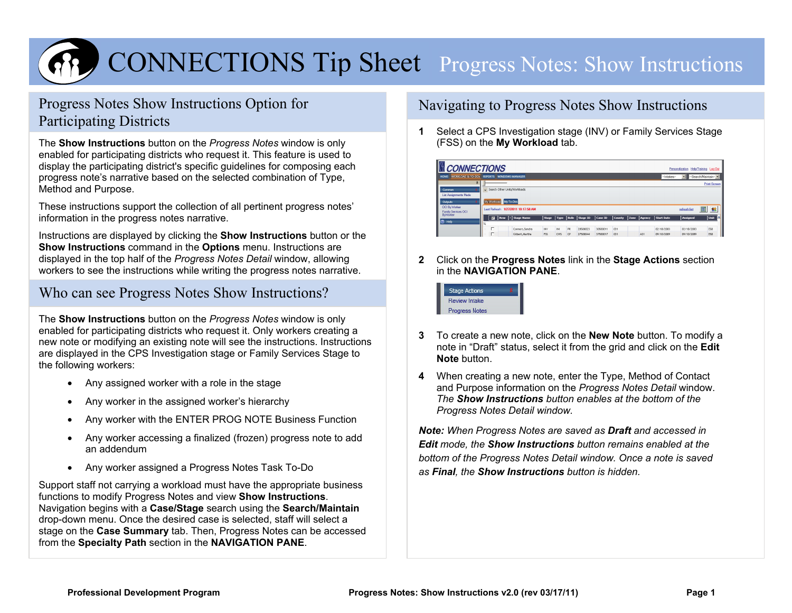

# CONNECTIONS Ti p Sheet Pro gress Notes: Show Instructions

# Progress Notes Show Instructions Option for Participating Districts

The **Show Instructions** button on the *Progress Notes* window is only enabled for participating districts who request it. This feature is used to display the participating district's specific guidelines for composing each progress note's narrative based on the selected combination of Type, Method and Purpose.

These instructions support the collection of all pertinent progress notes' information in the progress notes narrative.

Instructions are displayed by clicking the **Show Instructions** button or the **Show Instructions** command in the **Options** menu. Instructions are displayed in the top half of the *Progress Notes Detail* window, allowing workers to see the instructions while writing the progress notes narrative.

## Who can see Progress Notes Show Instructions?

The **Show Instructions** button on the *Progress Notes* window is only enabled for participating districts who request it. Only workers creating a new note or modifying an existing note will see the instructions. Instructions are displayed in the CPS Investigation stage or Family Services Stage to the following workers:

- Any assigned worker with a role in the stage
- Any worker in the assigned worker's hierarchy
- Any worker with the ENTER PROG NOTE Business Function
- Any worker accessing a finalized (frozen) progress note to add an addendum
- Any worker assigned a Progress Notes Task To-Do

Support staff not carrying a workload must have the appropriate business functions to modify Progress Notes and view **Show Instructions**. Navigation begins with a **Case/Stage** search using the **Search/Maintain** drop-down menu. Once the desired case is selected, staff will select a stage on the **Case Summary** tab. Then, Progress Notes can be accessed from the **Specialty Path** section in the **NAVIGATION PANE**.

## Navigating to Progress Notes Show Instructions

**1** Select a CPS Investigation stage (INV) or Family Services Stage (FSS) on the **My Workload** tab.

| <b>CONNECTIONS</b><br>Personalization Help/Training Log Out    |                                                     |     |                              |            |      |      |          |          |               |      |        |            |            |                    |
|----------------------------------------------------------------|-----------------------------------------------------|-----|------------------------------|------------|------|------|----------|----------|---------------|------|--------|------------|------------|--------------------|
| WORKLOAD & TO-DOS<br>HOME                                      | <b>REPORTS</b>                                      |     | <b>WINDOWS MANAGER</b>       |            |      |      |          |          |               |      |        | -Intakes-  | FI.        | --Search/Maintain- |
| Q.                                                             |                                                     |     |                              |            |      |      |          |          |               |      |        |            |            | Print Screen       |
| Common<br><b>List Assignments Made</b><br>Outputs              | My Workload My To-Dos                               |     | Search Other Units/Workloads |            |      |      |          |          |               |      |        |            |            |                    |
| <b>OCI By Worker</b><br>Family Services OCI<br><b>ByWorker</b> | Last Refresh: 1/27/2011 10:17:58 AM<br>refresh list |     |                              |            |      |      |          |          |               |      |        |            |            |                    |
|                                                                | $\overline{z}$                                      | New | Stage Name                   | Stage      | Type | Role | Stage ID | Case ID  | <b>County</b> | Zone | Agency | Start Date | Assigned   | Unit<br>I۵         |
| <b>Z</b> Help                                                  | v.                                                  |     |                              |            |      |      |          |          |               |      |        |            |            |                    |
|                                                                | п                                                   |     | Connors, Sandra              | <b>INV</b> | INI  | PR   | 20500023 | 30500011 | CG1           |      |        | 02/18/2003 | 02/18/2003 | E58                |
|                                                                | г                                                   |     | Gilbert, Martha              | <b>FSS</b> | CWS  | CP   | 27500044 | 37500017 | 031           |      | A31    | 09/10/2009 | 09/10/2009 | <b>E58</b>         |

**2** Click on the **Progress Notes** link in the **Stage Actions** section in the **NAVIGATION PANE**.

| <b>Stage Actions</b>  |  |
|-----------------------|--|
| Review Intake         |  |
| <b>Progress Notes</b> |  |

- **3** To create a new note, click on the **New Note** button. To modify a note in "Draft" status, select it from the grid and click on the **Edit Note** button.
- **4** When creating a new note, enter the Type, Method of Contact and Purpose information on the *Progress Notes Detail* window. *The Show Instructions button enables at the bottom of the Progress Notes Detail window.*

*Note: When Progress Notes are saved as Draft and accessed in Edit mode, the Show Instructions button remains enabled at the bottom of the Progress Notes Detail window. Once a note is saved as Final, the Show Instructions button is hidden.*